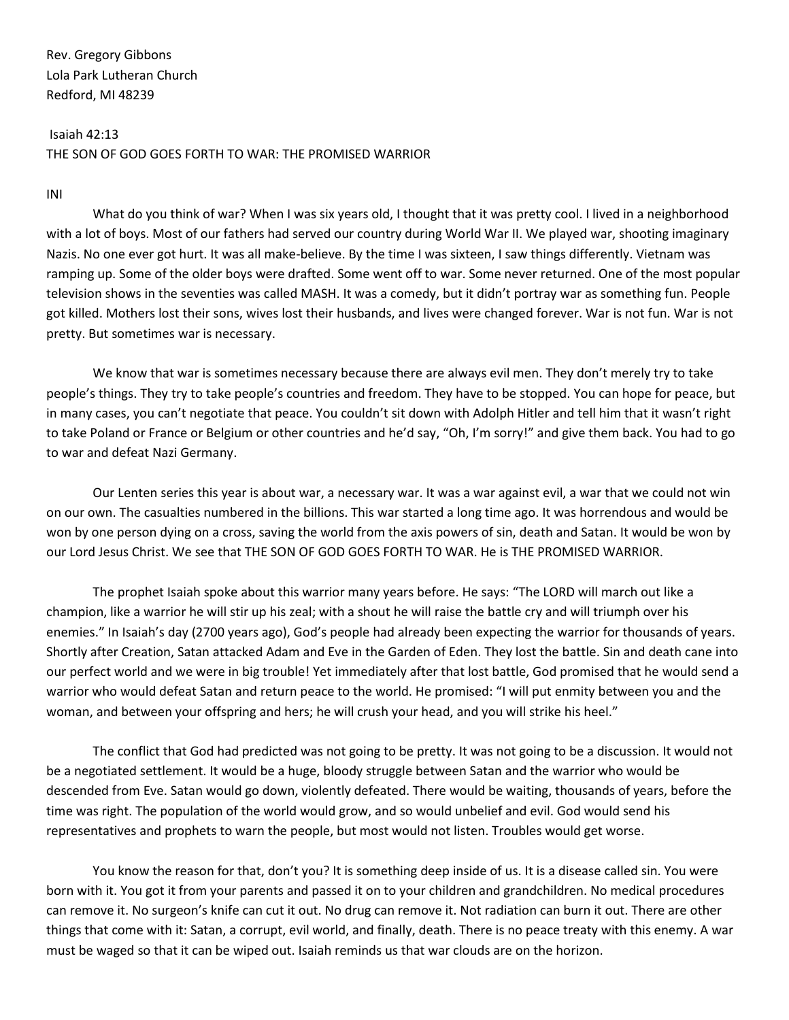Isaiah 42:13 THE SON OF GOD GOES FORTH TO WAR: THE PROMISED WARRIOR

## INI

What do you think of war? When I was six years old, I thought that it was pretty cool. I lived in a neighborhood with a lot of boys. Most of our fathers had served our country during World War II. We played war, shooting imaginary Nazis. No one ever got hurt. It was all make-believe. By the time I was sixteen, I saw things differently. Vietnam was ramping up. Some of the older boys were drafted. Some went off to war. Some never returned. One of the most popular television shows in the seventies was called MASH. It was a comedy, but it didn't portray war as something fun. People got killed. Mothers lost their sons, wives lost their husbands, and lives were changed forever. War is not fun. War is not pretty. But sometimes war is necessary.

We know that war is sometimes necessary because there are always evil men. They don't merely try to take people's things. They try to take people's countries and freedom. They have to be stopped. You can hope for peace, but in many cases, you can't negotiate that peace. You couldn't sit down with Adolph Hitler and tell him that it wasn't right to take Poland or France or Belgium or other countries and he'd say, "Oh, I'm sorry!" and give them back. You had to go to war and defeat Nazi Germany.

Our Lenten series this year is about war, a necessary war. It was a war against evil, a war that we could not win on our own. The casualties numbered in the billions. This war started a long time ago. It was horrendous and would be won by one person dying on a cross, saving the world from the axis powers of sin, death and Satan. It would be won by our Lord Jesus Christ. We see that THE SON OF GOD GOES FORTH TO WAR. He is THE PROMISED WARRIOR.

The prophet Isaiah spoke about this warrior many years before. He says: "The LORD will march out like a champion, like a warrior he will stir up his zeal; with a shout he will raise the battle cry and will triumph over his enemies." In Isaiah's day (2700 years ago), God's people had already been expecting the warrior for thousands of years. Shortly after Creation, Satan attacked Adam and Eve in the Garden of Eden. They lost the battle. Sin and death cane into our perfect world and we were in big trouble! Yet immediately after that lost battle, God promised that he would send a warrior who would defeat Satan and return peace to the world. He promised: "I will put enmity between you and the woman, and between your offspring and hers; he will crush your head, and you will strike his heel."

The conflict that God had predicted was not going to be pretty. It was not going to be a discussion. It would not be a negotiated settlement. It would be a huge, bloody struggle between Satan and the warrior who would be descended from Eve. Satan would go down, violently defeated. There would be waiting, thousands of years, before the time was right. The population of the world would grow, and so would unbelief and evil. God would send his representatives and prophets to warn the people, but most would not listen. Troubles would get worse.

You know the reason for that, don't you? It is something deep inside of us. It is a disease called sin. You were born with it. You got it from your parents and passed it on to your children and grandchildren. No medical procedures can remove it. No surgeon's knife can cut it out. No drug can remove it. Not radiation can burn it out. There are other things that come with it: Satan, a corrupt, evil world, and finally, death. There is no peace treaty with this enemy. A war must be waged so that it can be wiped out. Isaiah reminds us that war clouds are on the horizon.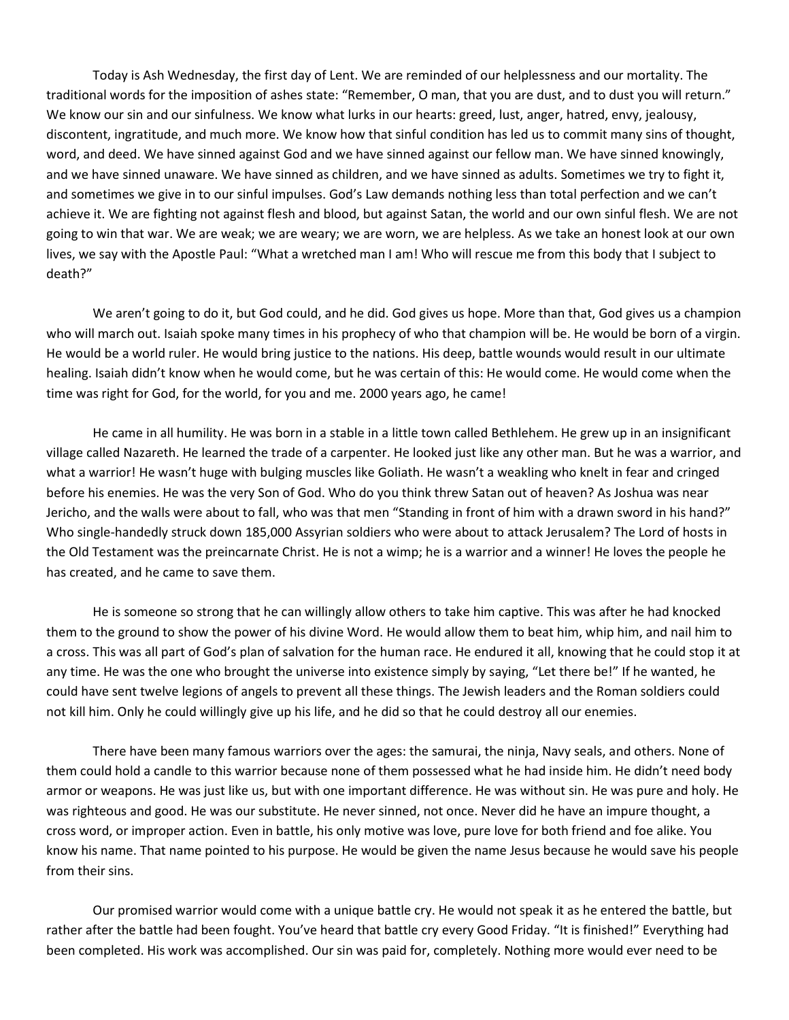Today is Ash Wednesday, the first day of Lent. We are reminded of our helplessness and our mortality. The traditional words for the imposition of ashes state: "Remember, O man, that you are dust, and to dust you will return." We know our sin and our sinfulness. We know what lurks in our hearts: greed, lust, anger, hatred, envy, jealousy, discontent, ingratitude, and much more. We know how that sinful condition has led us to commit many sins of thought, word, and deed. We have sinned against God and we have sinned against our fellow man. We have sinned knowingly, and we have sinned unaware. We have sinned as children, and we have sinned as adults. Sometimes we try to fight it, and sometimes we give in to our sinful impulses. God's Law demands nothing less than total perfection and we can't achieve it. We are fighting not against flesh and blood, but against Satan, the world and our own sinful flesh. We are not going to win that war. We are weak; we are weary; we are worn, we are helpless. As we take an honest look at our own lives, we say with the Apostle Paul: "What a wretched man I am! Who will rescue me from this body that I subject to death?"

We aren't going to do it, but God could, and he did. God gives us hope. More than that, God gives us a champion who will march out. Isaiah spoke many times in his prophecy of who that champion will be. He would be born of a virgin. He would be a world ruler. He would bring justice to the nations. His deep, battle wounds would result in our ultimate healing. Isaiah didn't know when he would come, but he was certain of this: He would come. He would come when the time was right for God, for the world, for you and me. 2000 years ago, he came!

He came in all humility. He was born in a stable in a little town called Bethlehem. He grew up in an insignificant village called Nazareth. He learned the trade of a carpenter. He looked just like any other man. But he was a warrior, and what a warrior! He wasn't huge with bulging muscles like Goliath. He wasn't a weakling who knelt in fear and cringed before his enemies. He was the very Son of God. Who do you think threw Satan out of heaven? As Joshua was near Jericho, and the walls were about to fall, who was that men "Standing in front of him with a drawn sword in his hand?" Who single-handedly struck down 185,000 Assyrian soldiers who were about to attack Jerusalem? The Lord of hosts in the Old Testament was the preincarnate Christ. He is not a wimp; he is a warrior and a winner! He loves the people he has created, and he came to save them.

He is someone so strong that he can willingly allow others to take him captive. This was after he had knocked them to the ground to show the power of his divine Word. He would allow them to beat him, whip him, and nail him to a cross. This was all part of God's plan of salvation for the human race. He endured it all, knowing that he could stop it at any time. He was the one who brought the universe into existence simply by saying, "Let there be!" If he wanted, he could have sent twelve legions of angels to prevent all these things. The Jewish leaders and the Roman soldiers could not kill him. Only he could willingly give up his life, and he did so that he could destroy all our enemies.

There have been many famous warriors over the ages: the samurai, the ninja, Navy seals, and others. None of them could hold a candle to this warrior because none of them possessed what he had inside him. He didn't need body armor or weapons. He was just like us, but with one important difference. He was without sin. He was pure and holy. He was righteous and good. He was our substitute. He never sinned, not once. Never did he have an impure thought, a cross word, or improper action. Even in battle, his only motive was love, pure love for both friend and foe alike. You know his name. That name pointed to his purpose. He would be given the name Jesus because he would save his people from their sins.

Our promised warrior would come with a unique battle cry. He would not speak it as he entered the battle, but rather after the battle had been fought. You've heard that battle cry every Good Friday. "It is finished!" Everything had been completed. His work was accomplished. Our sin was paid for, completely. Nothing more would ever need to be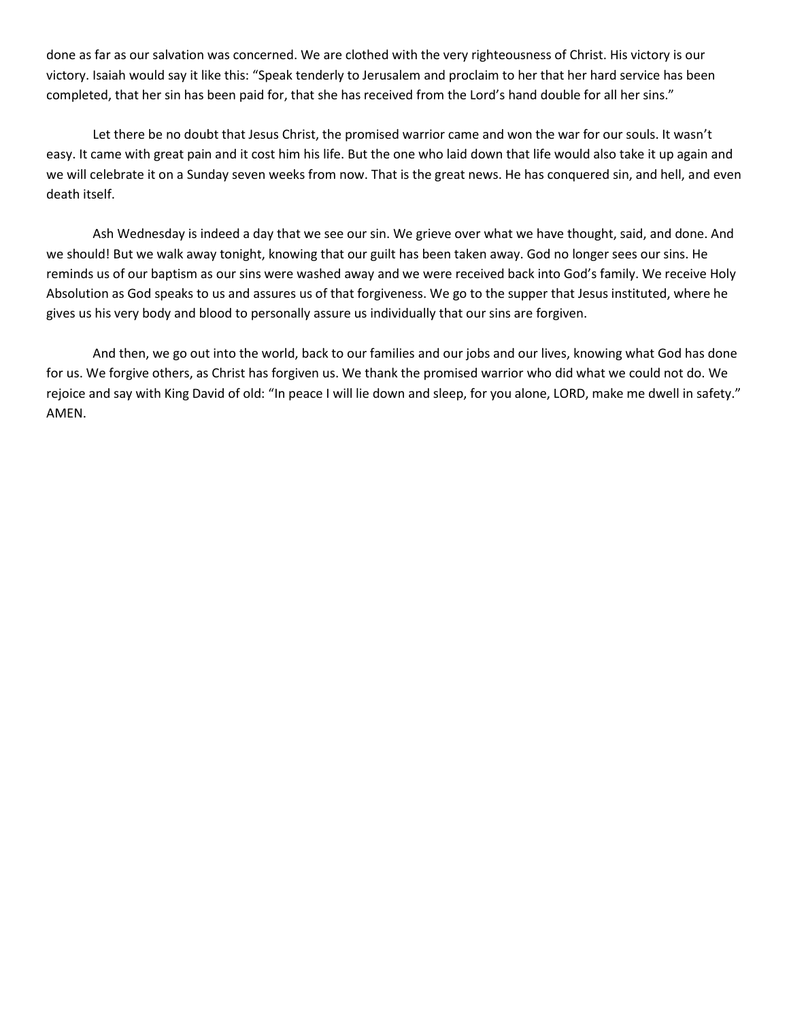done as far as our salvation was concerned. We are clothed with the very righteousness of Christ. His victory is our victory. Isaiah would say it like this: "Speak tenderly to Jerusalem and proclaim to her that her hard service has been completed, that her sin has been paid for, that she has received from the Lord's hand double for all her sins."

Let there be no doubt that Jesus Christ, the promised warrior came and won the war for our souls. It wasn't easy. It came with great pain and it cost him his life. But the one who laid down that life would also take it up again and we will celebrate it on a Sunday seven weeks from now. That is the great news. He has conquered sin, and hell, and even death itself.

Ash Wednesday is indeed a day that we see our sin. We grieve over what we have thought, said, and done. And we should! But we walk away tonight, knowing that our guilt has been taken away. God no longer sees our sins. He reminds us of our baptism as our sins were washed away and we were received back into God's family. We receive Holy Absolution as God speaks to us and assures us of that forgiveness. We go to the supper that Jesus instituted, where he gives us his very body and blood to personally assure us individually that our sins are forgiven.

And then, we go out into the world, back to our families and our jobs and our lives, knowing what God has done for us. We forgive others, as Christ has forgiven us. We thank the promised warrior who did what we could not do. We rejoice and say with King David of old: "In peace I will lie down and sleep, for you alone, LORD, make me dwell in safety." AMEN.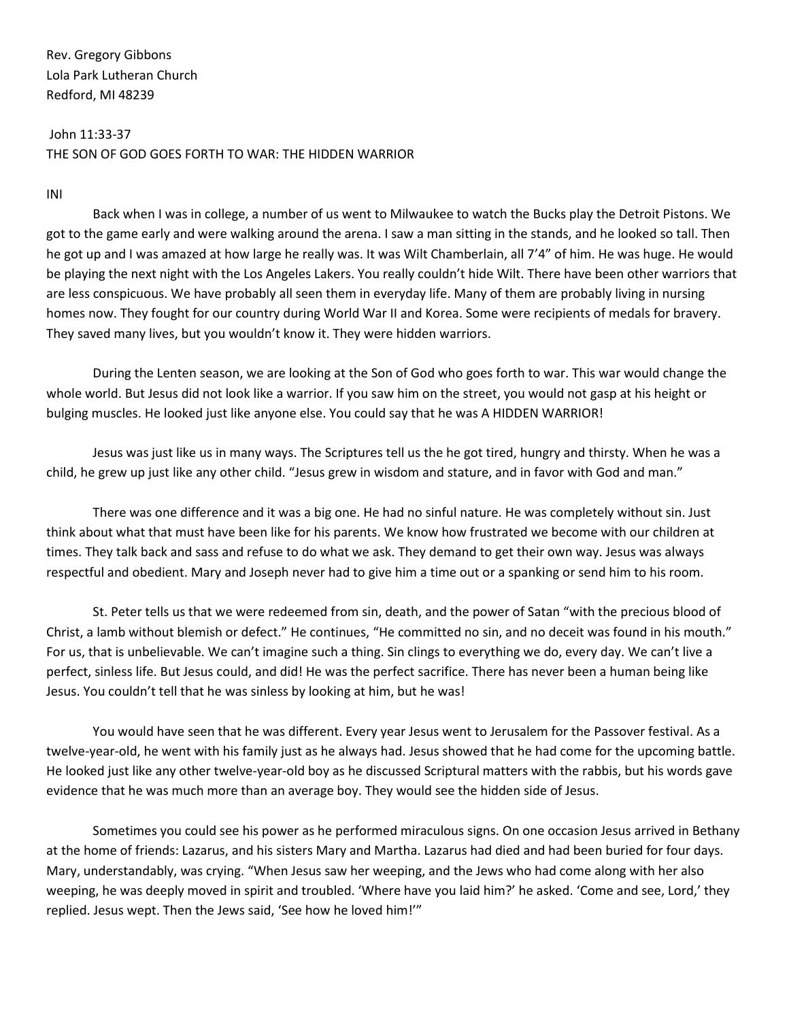John 11:33-37 THE SON OF GOD GOES FORTH TO WAR: THE HIDDEN WARRIOR

INI

Back when I was in college, a number of us went to Milwaukee to watch the Bucks play the Detroit Pistons. We got to the game early and were walking around the arena. I saw a man sitting in the stands, and he looked so tall. Then he got up and I was amazed at how large he really was. It was Wilt Chamberlain, all 7'4" of him. He was huge. He would be playing the next night with the Los Angeles Lakers. You really couldn't hide Wilt. There have been other warriors that are less conspicuous. We have probably all seen them in everyday life. Many of them are probably living in nursing homes now. They fought for our country during World War II and Korea. Some were recipients of medals for bravery. They saved many lives, but you wouldn't know it. They were hidden warriors.

During the Lenten season, we are looking at the Son of God who goes forth to war. This war would change the whole world. But Jesus did not look like a warrior. If you saw him on the street, you would not gasp at his height or bulging muscles. He looked just like anyone else. You could say that he was A HIDDEN WARRIOR!

Jesus was just like us in many ways. The Scriptures tell us the he got tired, hungry and thirsty. When he was a child, he grew up just like any other child. "Jesus grew in wisdom and stature, and in favor with God and man."

There was one difference and it was a big one. He had no sinful nature. He was completely without sin. Just think about what that must have been like for his parents. We know how frustrated we become with our children at times. They talk back and sass and refuse to do what we ask. They demand to get their own way. Jesus was always respectful and obedient. Mary and Joseph never had to give him a time out or a spanking or send him to his room.

St. Peter tells us that we were redeemed from sin, death, and the power of Satan "with the precious blood of Christ, a lamb without blemish or defect." He continues, "He committed no sin, and no deceit was found in his mouth." For us, that is unbelievable. We can't imagine such a thing. Sin clings to everything we do, every day. We can't live a perfect, sinless life. But Jesus could, and did! He was the perfect sacrifice. There has never been a human being like Jesus. You couldn't tell that he was sinless by looking at him, but he was!

You would have seen that he was different. Every year Jesus went to Jerusalem for the Passover festival. As a twelve-year-old, he went with his family just as he always had. Jesus showed that he had come for the upcoming battle. He looked just like any other twelve-year-old boy as he discussed Scriptural matters with the rabbis, but his words gave evidence that he was much more than an average boy. They would see the hidden side of Jesus.

Sometimes you could see his power as he performed miraculous signs. On one occasion Jesus arrived in Bethany at the home of friends: Lazarus, and his sisters Mary and Martha. Lazarus had died and had been buried for four days. Mary, understandably, was crying. "When Jesus saw her weeping, and the Jews who had come along with her also weeping, he was deeply moved in spirit and troubled. 'Where have you laid him?' he asked. 'Come and see, Lord,' they replied. Jesus wept. Then the Jews said, 'See how he loved him!'"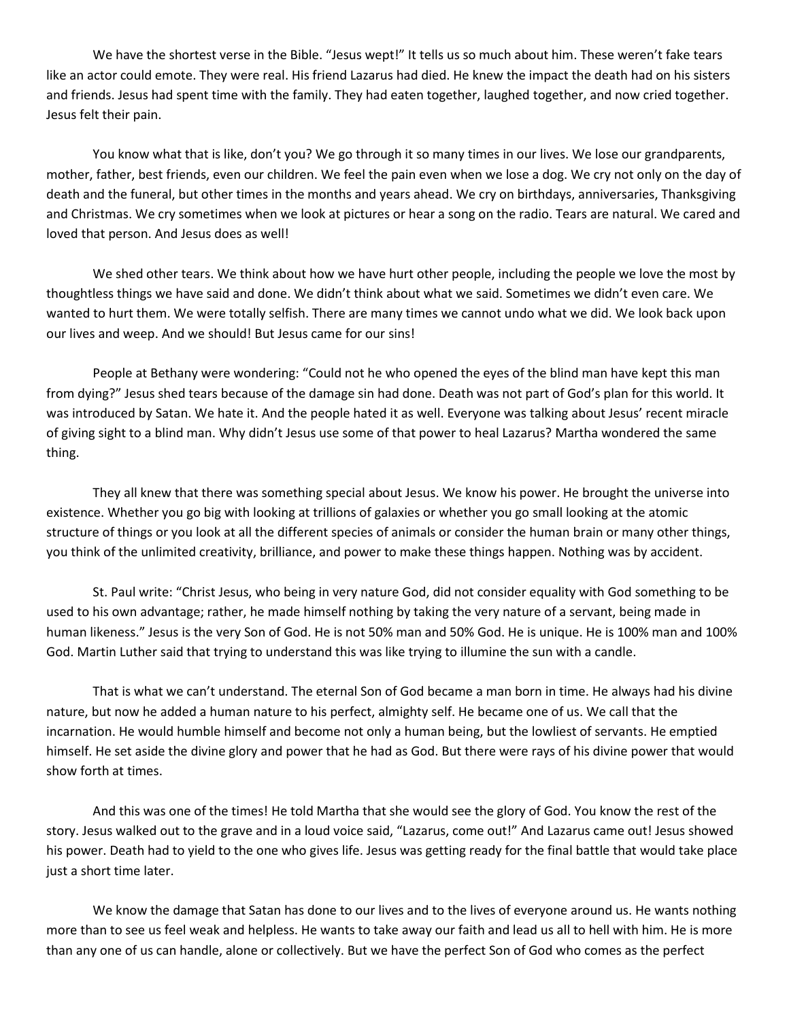We have the shortest verse in the Bible. "Jesus wept!" It tells us so much about him. These weren't fake tears like an actor could emote. They were real. His friend Lazarus had died. He knew the impact the death had on his sisters and friends. Jesus had spent time with the family. They had eaten together, laughed together, and now cried together. Jesus felt their pain.

You know what that is like, don't you? We go through it so many times in our lives. We lose our grandparents, mother, father, best friends, even our children. We feel the pain even when we lose a dog. We cry not only on the day of death and the funeral, but other times in the months and years ahead. We cry on birthdays, anniversaries, Thanksgiving and Christmas. We cry sometimes when we look at pictures or hear a song on the radio. Tears are natural. We cared and loved that person. And Jesus does as well!

We shed other tears. We think about how we have hurt other people, including the people we love the most by thoughtless things we have said and done. We didn't think about what we said. Sometimes we didn't even care. We wanted to hurt them. We were totally selfish. There are many times we cannot undo what we did. We look back upon our lives and weep. And we should! But Jesus came for our sins!

People at Bethany were wondering: "Could not he who opened the eyes of the blind man have kept this man from dying?" Jesus shed tears because of the damage sin had done. Death was not part of God's plan for this world. It was introduced by Satan. We hate it. And the people hated it as well. Everyone was talking about Jesus' recent miracle of giving sight to a blind man. Why didn't Jesus use some of that power to heal Lazarus? Martha wondered the same thing.

They all knew that there was something special about Jesus. We know his power. He brought the universe into existence. Whether you go big with looking at trillions of galaxies or whether you go small looking at the atomic structure of things or you look at all the different species of animals or consider the human brain or many other things, you think of the unlimited creativity, brilliance, and power to make these things happen. Nothing was by accident.

St. Paul write: "Christ Jesus, who being in very nature God, did not consider equality with God something to be used to his own advantage; rather, he made himself nothing by taking the very nature of a servant, being made in human likeness." Jesus is the very Son of God. He is not 50% man and 50% God. He is unique. He is 100% man and 100% God. Martin Luther said that trying to understand this was like trying to illumine the sun with a candle.

That is what we can't understand. The eternal Son of God became a man born in time. He always had his divine nature, but now he added a human nature to his perfect, almighty self. He became one of us. We call that the incarnation. He would humble himself and become not only a human being, but the lowliest of servants. He emptied himself. He set aside the divine glory and power that he had as God. But there were rays of his divine power that would show forth at times.

And this was one of the times! He told Martha that she would see the glory of God. You know the rest of the story. Jesus walked out to the grave and in a loud voice said, "Lazarus, come out!" And Lazarus came out! Jesus showed his power. Death had to yield to the one who gives life. Jesus was getting ready for the final battle that would take place just a short time later.

We know the damage that Satan has done to our lives and to the lives of everyone around us. He wants nothing more than to see us feel weak and helpless. He wants to take away our faith and lead us all to hell with him. He is more than any one of us can handle, alone or collectively. But we have the perfect Son of God who comes as the perfect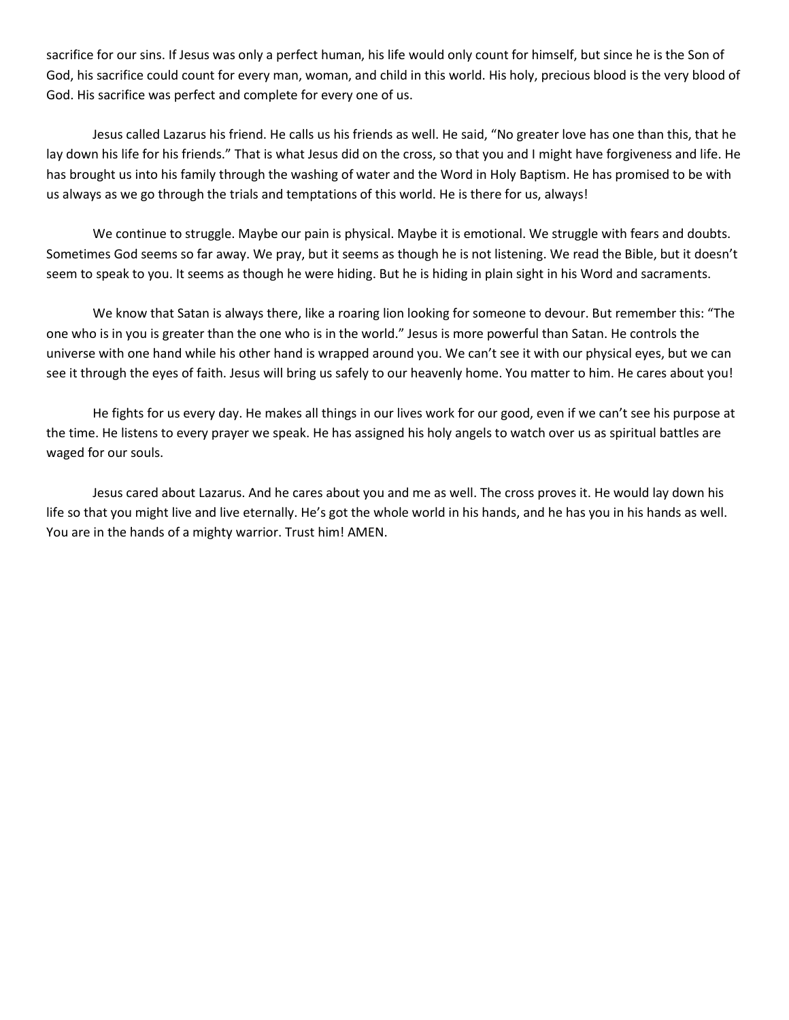sacrifice for our sins. If Jesus was only a perfect human, his life would only count for himself, but since he is the Son of God, his sacrifice could count for every man, woman, and child in this world. His holy, precious blood is the very blood of God. His sacrifice was perfect and complete for every one of us.

Jesus called Lazarus his friend. He calls us his friends as well. He said, "No greater love has one than this, that he lay down his life for his friends." That is what Jesus did on the cross, so that you and I might have forgiveness and life. He has brought us into his family through the washing of water and the Word in Holy Baptism. He has promised to be with us always as we go through the trials and temptations of this world. He is there for us, always!

We continue to struggle. Maybe our pain is physical. Maybe it is emotional. We struggle with fears and doubts. Sometimes God seems so far away. We pray, but it seems as though he is not listening. We read the Bible, but it doesn't seem to speak to you. It seems as though he were hiding. But he is hiding in plain sight in his Word and sacraments.

We know that Satan is always there, like a roaring lion looking for someone to devour. But remember this: "The one who is in you is greater than the one who is in the world." Jesus is more powerful than Satan. He controls the universe with one hand while his other hand is wrapped around you. We can't see it with our physical eyes, but we can see it through the eyes of faith. Jesus will bring us safely to our heavenly home. You matter to him. He cares about you!

He fights for us every day. He makes all things in our lives work for our good, even if we can't see his purpose at the time. He listens to every prayer we speak. He has assigned his holy angels to watch over us as spiritual battles are waged for our souls.

Jesus cared about Lazarus. And he cares about you and me as well. The cross proves it. He would lay down his life so that you might live and live eternally. He's got the whole world in his hands, and he has you in his hands as well. You are in the hands of a mighty warrior. Trust him! AMEN.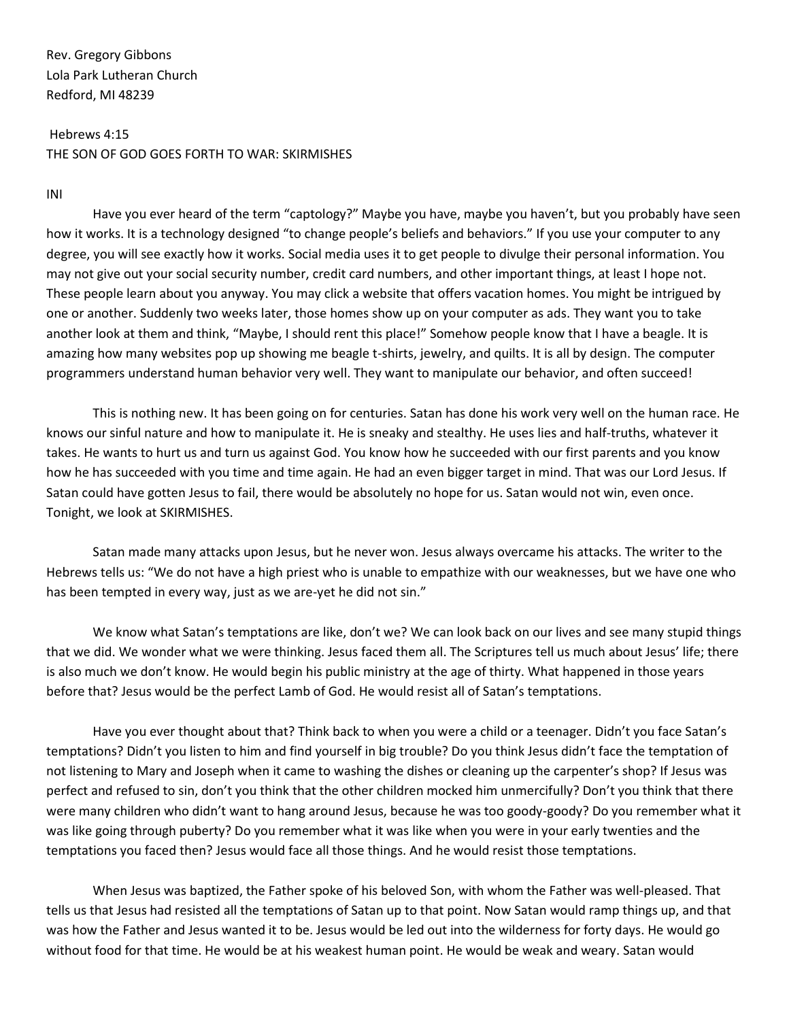# Hebrews 4:15 THE SON OF GOD GOES FORTH TO WAR: SKIRMISHES

#### INI

Have you ever heard of the term "captology?" Maybe you have, maybe you haven't, but you probably have seen how it works. It is a technology designed "to change people's beliefs and behaviors." If you use your computer to any degree, you will see exactly how it works. Social media uses it to get people to divulge their personal information. You may not give out your social security number, credit card numbers, and other important things, at least I hope not. These people learn about you anyway. You may click a website that offers vacation homes. You might be intrigued by one or another. Suddenly two weeks later, those homes show up on your computer as ads. They want you to take another look at them and think, "Maybe, I should rent this place!" Somehow people know that I have a beagle. It is amazing how many websites pop up showing me beagle t-shirts, jewelry, and quilts. It is all by design. The computer programmers understand human behavior very well. They want to manipulate our behavior, and often succeed!

This is nothing new. It has been going on for centuries. Satan has done his work very well on the human race. He knows our sinful nature and how to manipulate it. He is sneaky and stealthy. He uses lies and half-truths, whatever it takes. He wants to hurt us and turn us against God. You know how he succeeded with our first parents and you know how he has succeeded with you time and time again. He had an even bigger target in mind. That was our Lord Jesus. If Satan could have gotten Jesus to fail, there would be absolutely no hope for us. Satan would not win, even once. Tonight, we look at SKIRMISHES.

Satan made many attacks upon Jesus, but he never won. Jesus always overcame his attacks. The writer to the Hebrews tells us: "We do not have a high priest who is unable to empathize with our weaknesses, but we have one who has been tempted in every way, just as we are-yet he did not sin."

We know what Satan's temptations are like, don't we? We can look back on our lives and see many stupid things that we did. We wonder what we were thinking. Jesus faced them all. The Scriptures tell us much about Jesus' life; there is also much we don't know. He would begin his public ministry at the age of thirty. What happened in those years before that? Jesus would be the perfect Lamb of God. He would resist all of Satan's temptations.

Have you ever thought about that? Think back to when you were a child or a teenager. Didn't you face Satan's temptations? Didn't you listen to him and find yourself in big trouble? Do you think Jesus didn't face the temptation of not listening to Mary and Joseph when it came to washing the dishes or cleaning up the carpenter's shop? If Jesus was perfect and refused to sin, don't you think that the other children mocked him unmercifully? Don't you think that there were many children who didn't want to hang around Jesus, because he was too goody-goody? Do you remember what it was like going through puberty? Do you remember what it was like when you were in your early twenties and the temptations you faced then? Jesus would face all those things. And he would resist those temptations.

When Jesus was baptized, the Father spoke of his beloved Son, with whom the Father was well-pleased. That tells us that Jesus had resisted all the temptations of Satan up to that point. Now Satan would ramp things up, and that was how the Father and Jesus wanted it to be. Jesus would be led out into the wilderness for forty days. He would go without food for that time. He would be at his weakest human point. He would be weak and weary. Satan would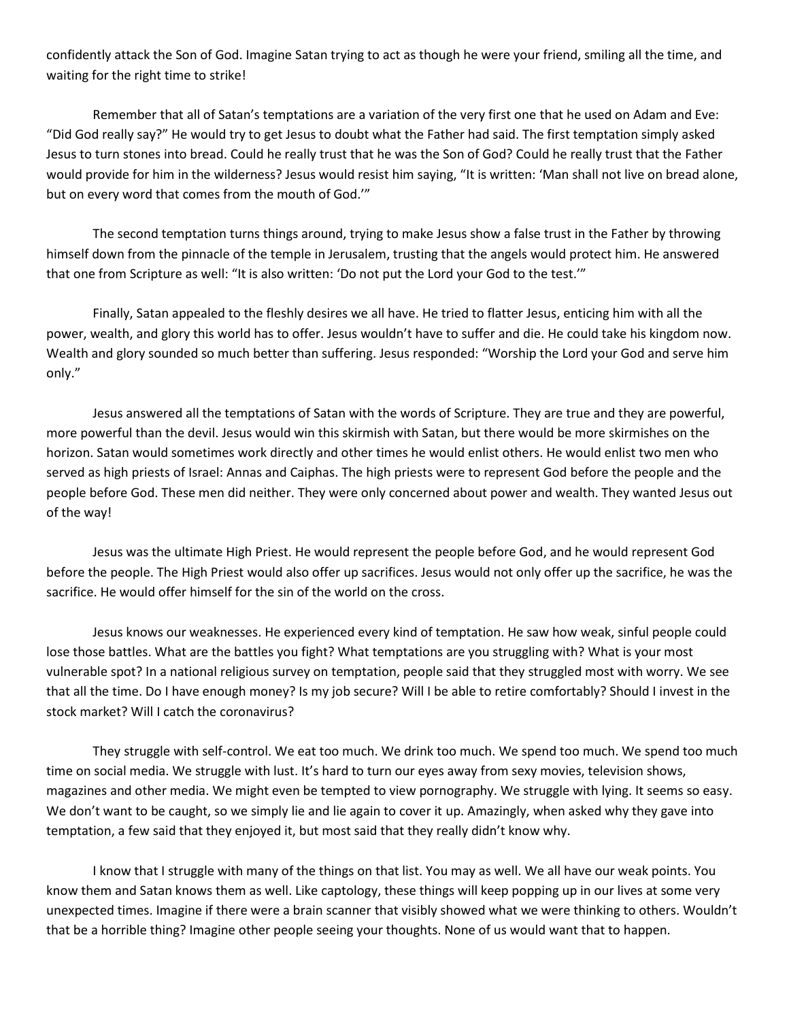confidently attack the Son of God. Imagine Satan trying to act as though he were your friend, smiling all the time, and waiting for the right time to strike!

Remember that all of Satan's temptations are a variation of the very first one that he used on Adam and Eve: "Did God really say?" He would try to get Jesus to doubt what the Father had said. The first temptation simply asked Jesus to turn stones into bread. Could he really trust that he was the Son of God? Could he really trust that the Father would provide for him in the wilderness? Jesus would resist him saying, "It is written: 'Man shall not live on bread alone, but on every word that comes from the mouth of God.'"

The second temptation turns things around, trying to make Jesus show a false trust in the Father by throwing himself down from the pinnacle of the temple in Jerusalem, trusting that the angels would protect him. He answered that one from Scripture as well: "It is also written: 'Do not put the Lord your God to the test.'"

Finally, Satan appealed to the fleshly desires we all have. He tried to flatter Jesus, enticing him with all the power, wealth, and glory this world has to offer. Jesus wouldn't have to suffer and die. He could take his kingdom now. Wealth and glory sounded so much better than suffering. Jesus responded: "Worship the Lord your God and serve him only."

Jesus answered all the temptations of Satan with the words of Scripture. They are true and they are powerful, more powerful than the devil. Jesus would win this skirmish with Satan, but there would be more skirmishes on the horizon. Satan would sometimes work directly and other times he would enlist others. He would enlist two men who served as high priests of Israel: Annas and Caiphas. The high priests were to represent God before the people and the people before God. These men did neither. They were only concerned about power and wealth. They wanted Jesus out of the way!

Jesus was the ultimate High Priest. He would represent the people before God, and he would represent God before the people. The High Priest would also offer up sacrifices. Jesus would not only offer up the sacrifice, he was the sacrifice. He would offer himself for the sin of the world on the cross.

Jesus knows our weaknesses. He experienced every kind of temptation. He saw how weak, sinful people could lose those battles. What are the battles you fight? What temptations are you struggling with? What is your most vulnerable spot? In a national religious survey on temptation, people said that they struggled most with worry. We see that all the time. Do I have enough money? Is my job secure? Will I be able to retire comfortably? Should I invest in the stock market? Will I catch the coronavirus?

They struggle with self-control. We eat too much. We drink too much. We spend too much. We spend too much time on social media. We struggle with lust. It's hard to turn our eyes away from sexy movies, television shows, magazines and other media. We might even be tempted to view pornography. We struggle with lying. It seems so easy. We don't want to be caught, so we simply lie and lie again to cover it up. Amazingly, when asked why they gave into temptation, a few said that they enjoyed it, but most said that they really didn't know why.

I know that I struggle with many of the things on that list. You may as well. We all have our weak points. You know them and Satan knows them as well. Like captology, these things will keep popping up in our lives at some very unexpected times. Imagine if there were a brain scanner that visibly showed what we were thinking to others. Wouldn't that be a horrible thing? Imagine other people seeing your thoughts. None of us would want that to happen.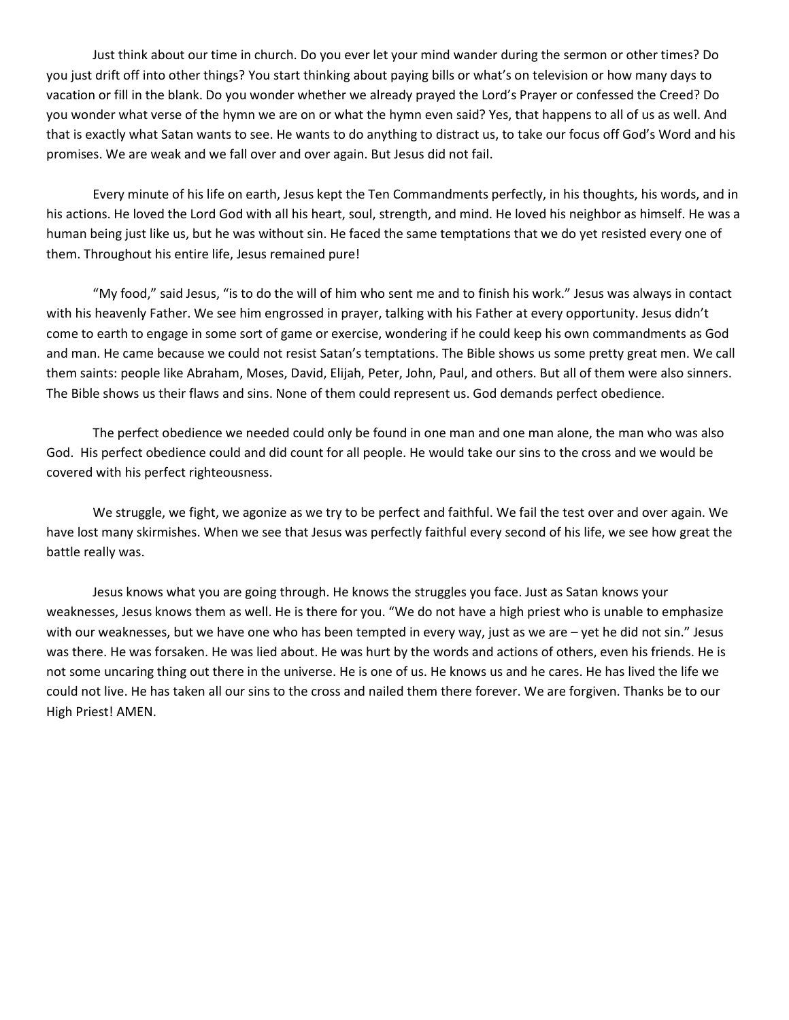Just think about our time in church. Do you ever let your mind wander during the sermon or other times? Do you just drift off into other things? You start thinking about paying bills or what's on television or how many days to vacation or fill in the blank. Do you wonder whether we already prayed the Lord's Prayer or confessed the Creed? Do you wonder what verse of the hymn we are on or what the hymn even said? Yes, that happens to all of us as well. And that is exactly what Satan wants to see. He wants to do anything to distract us, to take our focus off God's Word and his promises. We are weak and we fall over and over again. But Jesus did not fail.

Every minute of his life on earth, Jesus kept the Ten Commandments perfectly, in his thoughts, his words, and in his actions. He loved the Lord God with all his heart, soul, strength, and mind. He loved his neighbor as himself. He was a human being just like us, but he was without sin. He faced the same temptations that we do yet resisted every one of them. Throughout his entire life, Jesus remained pure!

"My food," said Jesus, "is to do the will of him who sent me and to finish his work." Jesus was always in contact with his heavenly Father. We see him engrossed in prayer, talking with his Father at every opportunity. Jesus didn't come to earth to engage in some sort of game or exercise, wondering if he could keep his own commandments as God and man. He came because we could not resist Satan's temptations. The Bible shows us some pretty great men. We call them saints: people like Abraham, Moses, David, Elijah, Peter, John, Paul, and others. But all of them were also sinners. The Bible shows us their flaws and sins. None of them could represent us. God demands perfect obedience.

The perfect obedience we needed could only be found in one man and one man alone, the man who was also God. His perfect obedience could and did count for all people. He would take our sins to the cross and we would be covered with his perfect righteousness.

We struggle, we fight, we agonize as we try to be perfect and faithful. We fail the test over and over again. We have lost many skirmishes. When we see that Jesus was perfectly faithful every second of his life, we see how great the battle really was.

Jesus knows what you are going through. He knows the struggles you face. Just as Satan knows your weaknesses, Jesus knows them as well. He is there for you. "We do not have a high priest who is unable to emphasize with our weaknesses, but we have one who has been tempted in every way, just as we are – yet he did not sin." Jesus was there. He was forsaken. He was lied about. He was hurt by the words and actions of others, even his friends. He is not some uncaring thing out there in the universe. He is one of us. He knows us and he cares. He has lived the life we could not live. He has taken all our sins to the cross and nailed them there forever. We are forgiven. Thanks be to our High Priest! AMEN.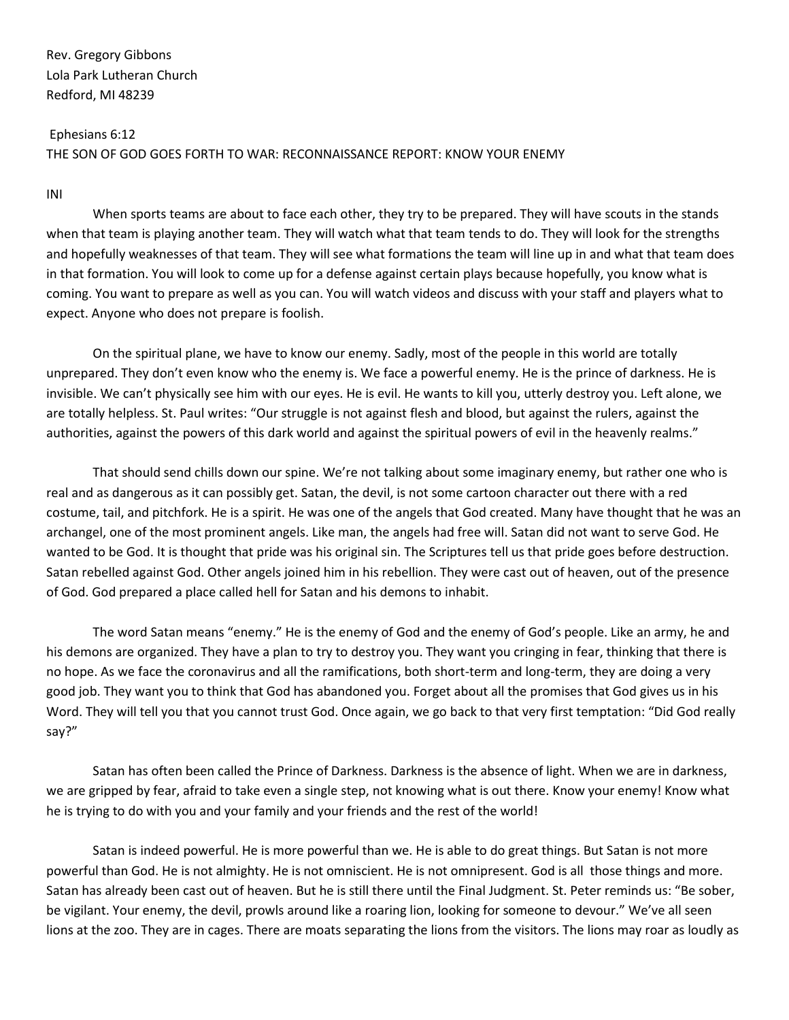Ephesians 6:12 THE SON OF GOD GOES FORTH TO WAR: RECONNAISSANCE REPORT: KNOW YOUR ENEMY

## INI

When sports teams are about to face each other, they try to be prepared. They will have scouts in the stands when that team is playing another team. They will watch what that team tends to do. They will look for the strengths and hopefully weaknesses of that team. They will see what formations the team will line up in and what that team does in that formation. You will look to come up for a defense against certain plays because hopefully, you know what is coming. You want to prepare as well as you can. You will watch videos and discuss with your staff and players what to expect. Anyone who does not prepare is foolish.

On the spiritual plane, we have to know our enemy. Sadly, most of the people in this world are totally unprepared. They don't even know who the enemy is. We face a powerful enemy. He is the prince of darkness. He is invisible. We can't physically see him with our eyes. He is evil. He wants to kill you, utterly destroy you. Left alone, we are totally helpless. St. Paul writes: "Our struggle is not against flesh and blood, but against the rulers, against the authorities, against the powers of this dark world and against the spiritual powers of evil in the heavenly realms."

That should send chills down our spine. We're not talking about some imaginary enemy, but rather one who is real and as dangerous as it can possibly get. Satan, the devil, is not some cartoon character out there with a red costume, tail, and pitchfork. He is a spirit. He was one of the angels that God created. Many have thought that he was an archangel, one of the most prominent angels. Like man, the angels had free will. Satan did not want to serve God. He wanted to be God. It is thought that pride was his original sin. The Scriptures tell us that pride goes before destruction. Satan rebelled against God. Other angels joined him in his rebellion. They were cast out of heaven, out of the presence of God. God prepared a place called hell for Satan and his demons to inhabit.

The word Satan means "enemy." He is the enemy of God and the enemy of God's people. Like an army, he and his demons are organized. They have a plan to try to destroy you. They want you cringing in fear, thinking that there is no hope. As we face the coronavirus and all the ramifications, both short-term and long-term, they are doing a very good job. They want you to think that God has abandoned you. Forget about all the promises that God gives us in his Word. They will tell you that you cannot trust God. Once again, we go back to that very first temptation: "Did God really say?"

Satan has often been called the Prince of Darkness. Darkness is the absence of light. When we are in darkness, we are gripped by fear, afraid to take even a single step, not knowing what is out there. Know your enemy! Know what he is trying to do with you and your family and your friends and the rest of the world!

Satan is indeed powerful. He is more powerful than we. He is able to do great things. But Satan is not more powerful than God. He is not almighty. He is not omniscient. He is not omnipresent. God is all those things and more. Satan has already been cast out of heaven. But he is still there until the Final Judgment. St. Peter reminds us: "Be sober, be vigilant. Your enemy, the devil, prowls around like a roaring lion, looking for someone to devour." We've all seen lions at the zoo. They are in cages. There are moats separating the lions from the visitors. The lions may roar as loudly as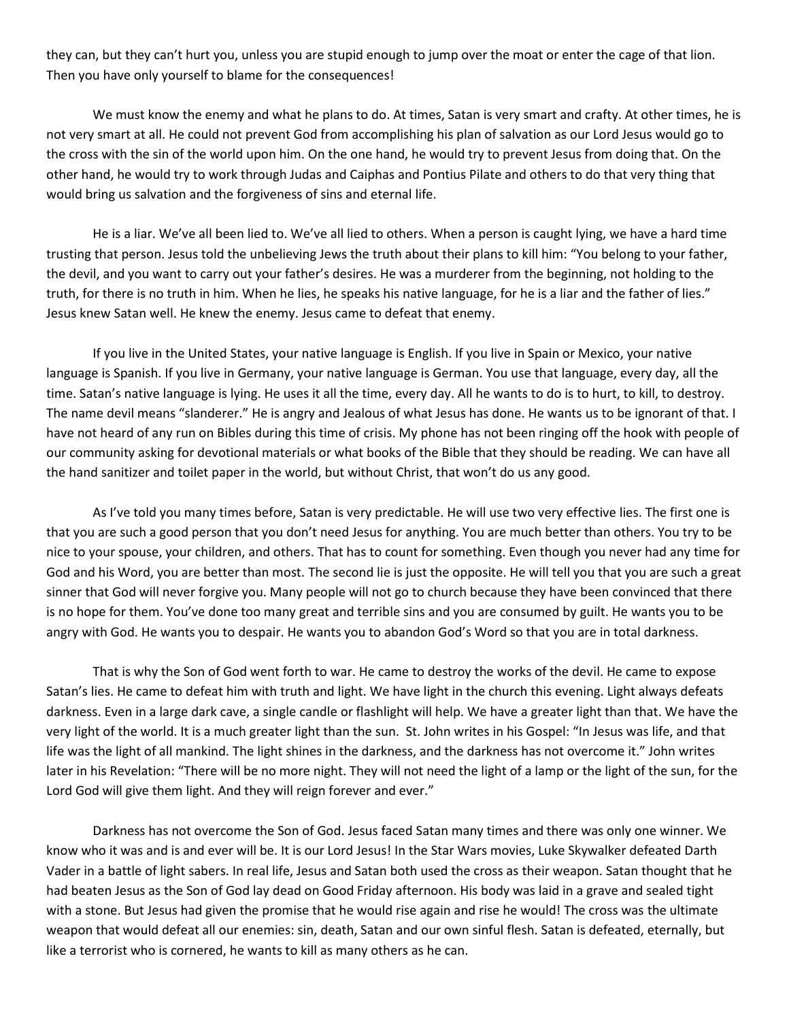they can, but they can't hurt you, unless you are stupid enough to jump over the moat or enter the cage of that lion. Then you have only yourself to blame for the consequences!

We must know the enemy and what he plans to do. At times, Satan is very smart and crafty. At other times, he is not very smart at all. He could not prevent God from accomplishing his plan of salvation as our Lord Jesus would go to the cross with the sin of the world upon him. On the one hand, he would try to prevent Jesus from doing that. On the other hand, he would try to work through Judas and Caiphas and Pontius Pilate and others to do that very thing that would bring us salvation and the forgiveness of sins and eternal life.

He is a liar. We've all been lied to. We've all lied to others. When a person is caught lying, we have a hard time trusting that person. Jesus told the unbelieving Jews the truth about their plans to kill him: "You belong to your father, the devil, and you want to carry out your father's desires. He was a murderer from the beginning, not holding to the truth, for there is no truth in him. When he lies, he speaks his native language, for he is a liar and the father of lies." Jesus knew Satan well. He knew the enemy. Jesus came to defeat that enemy.

If you live in the United States, your native language is English. If you live in Spain or Mexico, your native language is Spanish. If you live in Germany, your native language is German. You use that language, every day, all the time. Satan's native language is lying. He uses it all the time, every day. All he wants to do is to hurt, to kill, to destroy. The name devil means "slanderer." He is angry and Jealous of what Jesus has done. He wants us to be ignorant of that. I have not heard of any run on Bibles during this time of crisis. My phone has not been ringing off the hook with people of our community asking for devotional materials or what books of the Bible that they should be reading. We can have all the hand sanitizer and toilet paper in the world, but without Christ, that won't do us any good.

As I've told you many times before, Satan is very predictable. He will use two very effective lies. The first one is that you are such a good person that you don't need Jesus for anything. You are much better than others. You try to be nice to your spouse, your children, and others. That has to count for something. Even though you never had any time for God and his Word, you are better than most. The second lie is just the opposite. He will tell you that you are such a great sinner that God will never forgive you. Many people will not go to church because they have been convinced that there is no hope for them. You've done too many great and terrible sins and you are consumed by guilt. He wants you to be angry with God. He wants you to despair. He wants you to abandon God's Word so that you are in total darkness.

That is why the Son of God went forth to war. He came to destroy the works of the devil. He came to expose Satan's lies. He came to defeat him with truth and light. We have light in the church this evening. Light always defeats darkness. Even in a large dark cave, a single candle or flashlight will help. We have a greater light than that. We have the very light of the world. It is a much greater light than the sun. St. John writes in his Gospel: "In Jesus was life, and that life was the light of all mankind. The light shines in the darkness, and the darkness has not overcome it." John writes later in his Revelation: "There will be no more night. They will not need the light of a lamp or the light of the sun, for the Lord God will give them light. And they will reign forever and ever."

Darkness has not overcome the Son of God. Jesus faced Satan many times and there was only one winner. We know who it was and is and ever will be. It is our Lord Jesus! In the Star Wars movies, Luke Skywalker defeated Darth Vader in a battle of light sabers. In real life, Jesus and Satan both used the cross as their weapon. Satan thought that he had beaten Jesus as the Son of God lay dead on Good Friday afternoon. His body was laid in a grave and sealed tight with a stone. But Jesus had given the promise that he would rise again and rise he would! The cross was the ultimate weapon that would defeat all our enemies: sin, death, Satan and our own sinful flesh. Satan is defeated, eternally, but like a terrorist who is cornered, he wants to kill as many others as he can.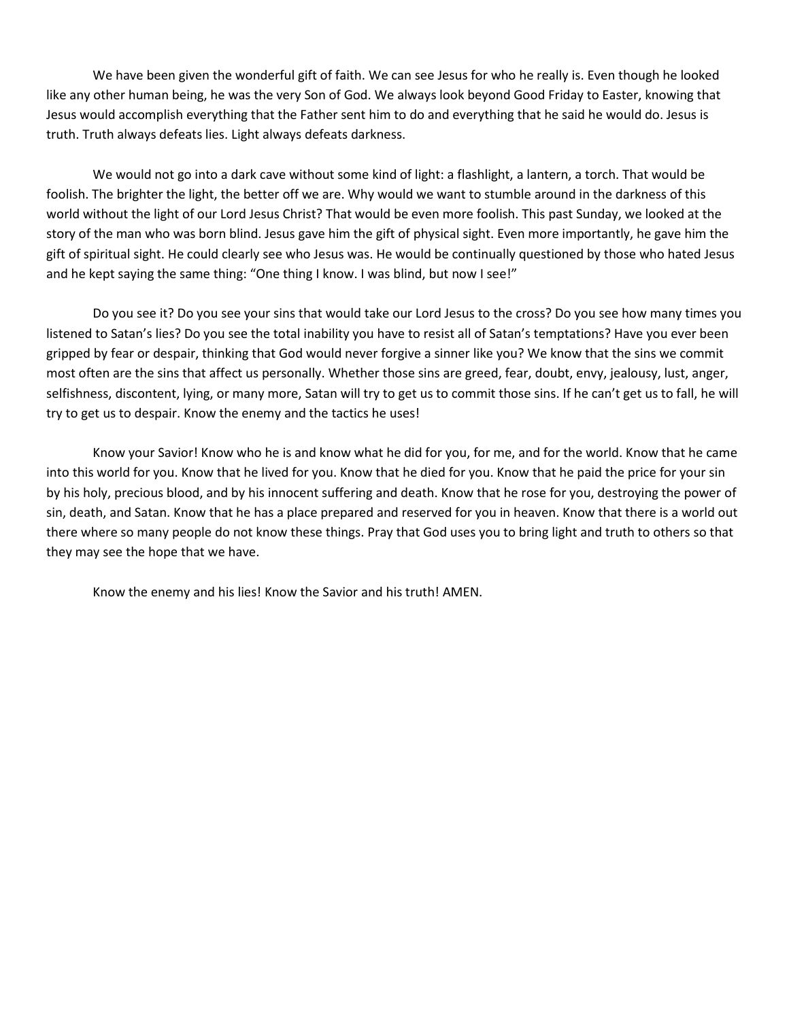We have been given the wonderful gift of faith. We can see Jesus for who he really is. Even though he looked like any other human being, he was the very Son of God. We always look beyond Good Friday to Easter, knowing that Jesus would accomplish everything that the Father sent him to do and everything that he said he would do. Jesus is truth. Truth always defeats lies. Light always defeats darkness.

We would not go into a dark cave without some kind of light: a flashlight, a lantern, a torch. That would be foolish. The brighter the light, the better off we are. Why would we want to stumble around in the darkness of this world without the light of our Lord Jesus Christ? That would be even more foolish. This past Sunday, we looked at the story of the man who was born blind. Jesus gave him the gift of physical sight. Even more importantly, he gave him the gift of spiritual sight. He could clearly see who Jesus was. He would be continually questioned by those who hated Jesus and he kept saying the same thing: "One thing I know. I was blind, but now I see!"

Do you see it? Do you see your sins that would take our Lord Jesus to the cross? Do you see how many times you listened to Satan's lies? Do you see the total inability you have to resist all of Satan's temptations? Have you ever been gripped by fear or despair, thinking that God would never forgive a sinner like you? We know that the sins we commit most often are the sins that affect us personally. Whether those sins are greed, fear, doubt, envy, jealousy, lust, anger, selfishness, discontent, lying, or many more, Satan will try to get us to commit those sins. If he can't get us to fall, he will try to get us to despair. Know the enemy and the tactics he uses!

Know your Savior! Know who he is and know what he did for you, for me, and for the world. Know that he came into this world for you. Know that he lived for you. Know that he died for you. Know that he paid the price for your sin by his holy, precious blood, and by his innocent suffering and death. Know that he rose for you, destroying the power of sin, death, and Satan. Know that he has a place prepared and reserved for you in heaven. Know that there is a world out there where so many people do not know these things. Pray that God uses you to bring light and truth to others so that they may see the hope that we have.

Know the enemy and his lies! Know the Savior and his truth! AMEN.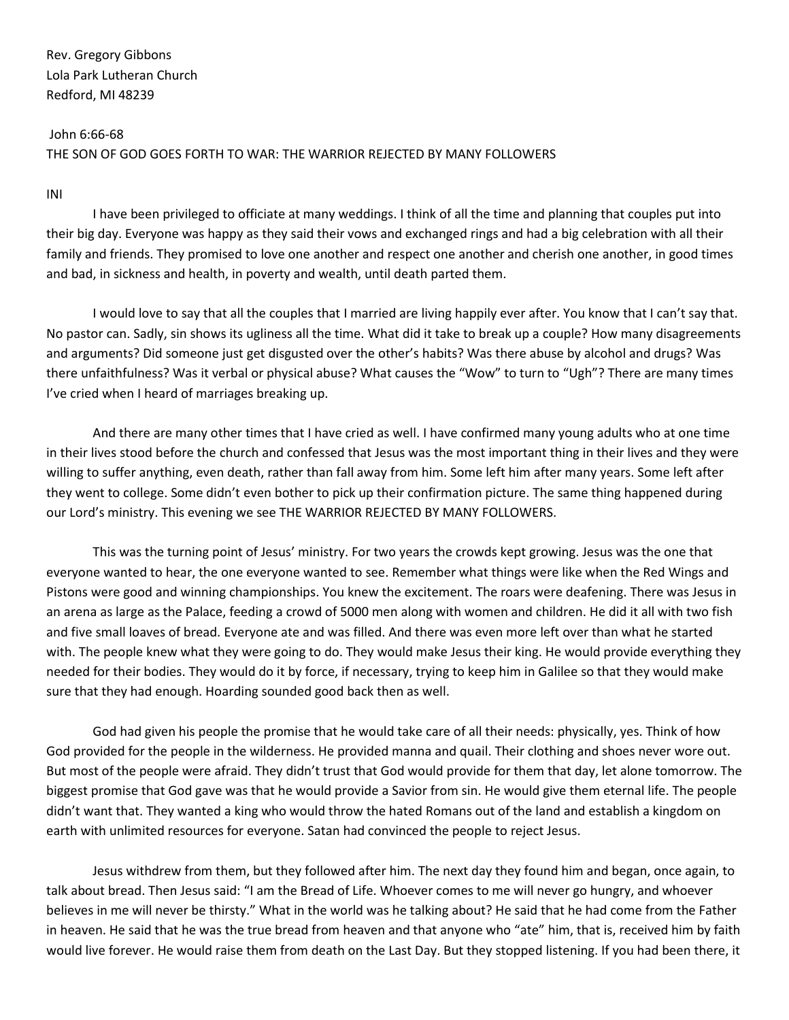John 6:66-68 THE SON OF GOD GOES FORTH TO WAR: THE WARRIOR REJECTED BY MANY FOLLOWERS

INI

I have been privileged to officiate at many weddings. I think of all the time and planning that couples put into their big day. Everyone was happy as they said their vows and exchanged rings and had a big celebration with all their family and friends. They promised to love one another and respect one another and cherish one another, in good times and bad, in sickness and health, in poverty and wealth, until death parted them.

I would love to say that all the couples that I married are living happily ever after. You know that I can't say that. No pastor can. Sadly, sin shows its ugliness all the time. What did it take to break up a couple? How many disagreements and arguments? Did someone just get disgusted over the other's habits? Was there abuse by alcohol and drugs? Was there unfaithfulness? Was it verbal or physical abuse? What causes the "Wow" to turn to "Ugh"? There are many times I've cried when I heard of marriages breaking up.

And there are many other times that I have cried as well. I have confirmed many young adults who at one time in their lives stood before the church and confessed that Jesus was the most important thing in their lives and they were willing to suffer anything, even death, rather than fall away from him. Some left him after many years. Some left after they went to college. Some didn't even bother to pick up their confirmation picture. The same thing happened during our Lord's ministry. This evening we see THE WARRIOR REJECTED BY MANY FOLLOWERS.

This was the turning point of Jesus' ministry. For two years the crowds kept growing. Jesus was the one that everyone wanted to hear, the one everyone wanted to see. Remember what things were like when the Red Wings and Pistons were good and winning championships. You knew the excitement. The roars were deafening. There was Jesus in an arena as large as the Palace, feeding a crowd of 5000 men along with women and children. He did it all with two fish and five small loaves of bread. Everyone ate and was filled. And there was even more left over than what he started with. The people knew what they were going to do. They would make Jesus their king. He would provide everything they needed for their bodies. They would do it by force, if necessary, trying to keep him in Galilee so that they would make sure that they had enough. Hoarding sounded good back then as well.

God had given his people the promise that he would take care of all their needs: physically, yes. Think of how God provided for the people in the wilderness. He provided manna and quail. Their clothing and shoes never wore out. But most of the people were afraid. They didn't trust that God would provide for them that day, let alone tomorrow. The biggest promise that God gave was that he would provide a Savior from sin. He would give them eternal life. The people didn't want that. They wanted a king who would throw the hated Romans out of the land and establish a kingdom on earth with unlimited resources for everyone. Satan had convinced the people to reject Jesus.

Jesus withdrew from them, but they followed after him. The next day they found him and began, once again, to talk about bread. Then Jesus said: "I am the Bread of Life. Whoever comes to me will never go hungry, and whoever believes in me will never be thirsty." What in the world was he talking about? He said that he had come from the Father in heaven. He said that he was the true bread from heaven and that anyone who "ate" him, that is, received him by faith would live forever. He would raise them from death on the Last Day. But they stopped listening. If you had been there, it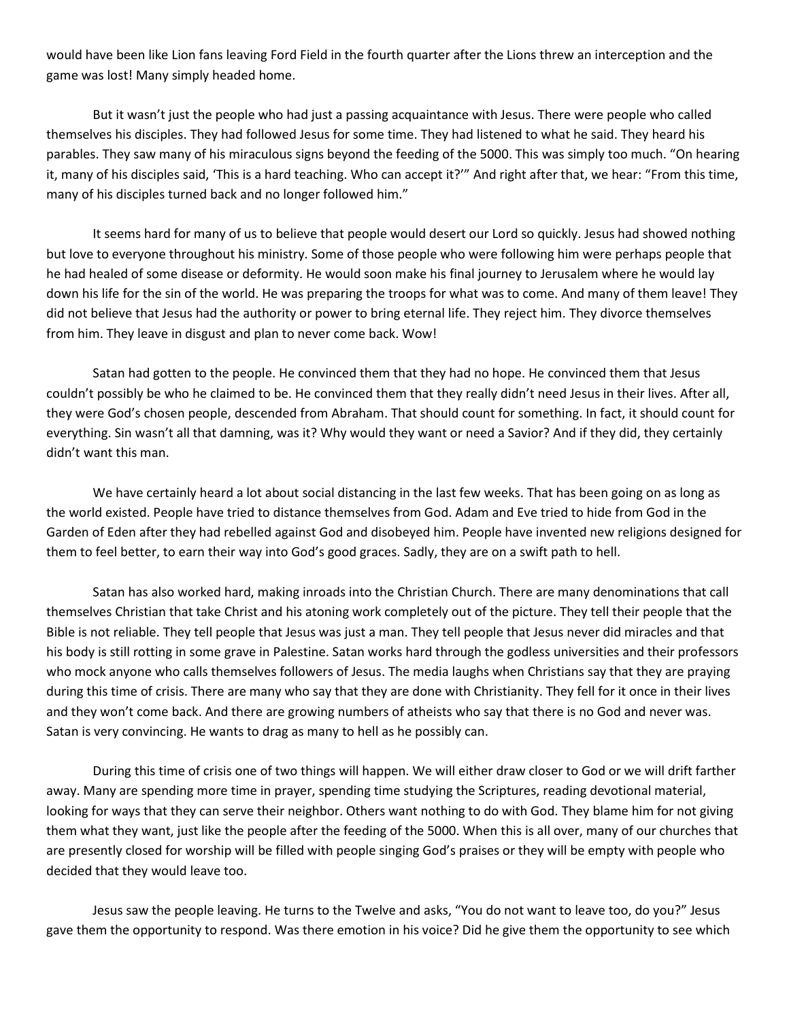would have been like Lion fans leaving Ford Field in the fourth quarter after the Lions threw an interception and the game was lost! Many simply headed home.

But it wasn't just the people who had just a passing acquaintance with Jesus. There were people who called themselves his disciples. They had followed Jesus for some time. They had listened to what he said. They heard his parables. They saw many of his miraculous signs beyond the feeding of the 5000. This was simply too much. "On hearing it, many of his disciples said, 'This is a hard teaching. Who can accept it?'" And right after that, we hear: "From this time, many of his disciples turned back and no longer followed him."

It seems hard for many of us to believe that people would desert our Lord so quickly. Jesus had showed nothing but love to everyone throughout his ministry. Some of those people who were following him were perhaps people that he had healed of some disease or deformity. He would soon make his final journey to Jerusalem where he would lay down his life for the sin of the world. He was preparing the troops for what was to come. And many of them leave! They did not believe that Jesus had the authority or power to bring eternal life. They reject him. They divorce themselves from him. They leave in disgust and plan to never come back. Wow!

Satan had gotten to the people. He convinced them that they had no hope. He convinced them that Jesus couldn't possibly be who he claimed to be. He convinced them that they really didn't need Jesus in their lives. After all, they were God's chosen people, descended from Abraham. That should count for something. In fact, it should count for everything. Sin wasn't all that damning, was it? Why would they want or need a Savior? And if they did, they certainly didn't want this man.

We have certainly heard a lot about social distancing in the last few weeks. That has been going on as long as the world existed. People have tried to distance themselves from God. Adam and Eve tried to hide from God in the Garden of Eden after they had rebelled against God and disobeyed him. People have invented new religions designed for them to feel better, to earn their way into God's good graces. Sadly, they are on a swift path to hell.

Satan has also worked hard, making inroads into the Christian Church. There are many denominations that call themselves Christian that take Christ and his atoning work completely out of the picture. They tell their people that the Bible is not reliable. They tell people that Jesus was just a man. They tell people that Jesus never did miracles and that his body is still rotting in some grave in Palestine. Satan works hard through the godless universities and their professors who mock anyone who calls themselves followers of Jesus. The media laughs when Christians say that they are praying during this time of crisis. There are many who say that they are done with Christianity. They fell for it once in their lives and they won't come back. And there are growing numbers of atheists who say that there is no God and never was. Satan is very convincing. He wants to drag as many to hell as he possibly can.

During this time of crisis one of two things will happen. We will either draw closer to God or we will drift farther away. Many are spending more time in prayer, spending time studying the Scriptures, reading devotional material, looking for ways that they can serve their neighbor. Others want nothing to do with God. They blame him for not giving them what they want, just like the people after the feeding of the 5000. When this is all over, many of our churches that are presently closed for worship will be filled with people singing God's praises or they will be empty with people who decided that they would leave too.

Jesus saw the people leaving. He turns to the Twelve and asks, "You do not want to leave too, do you?" Jesus gave them the opportunity to respond. Was there emotion in his voice? Did he give them the opportunity to see which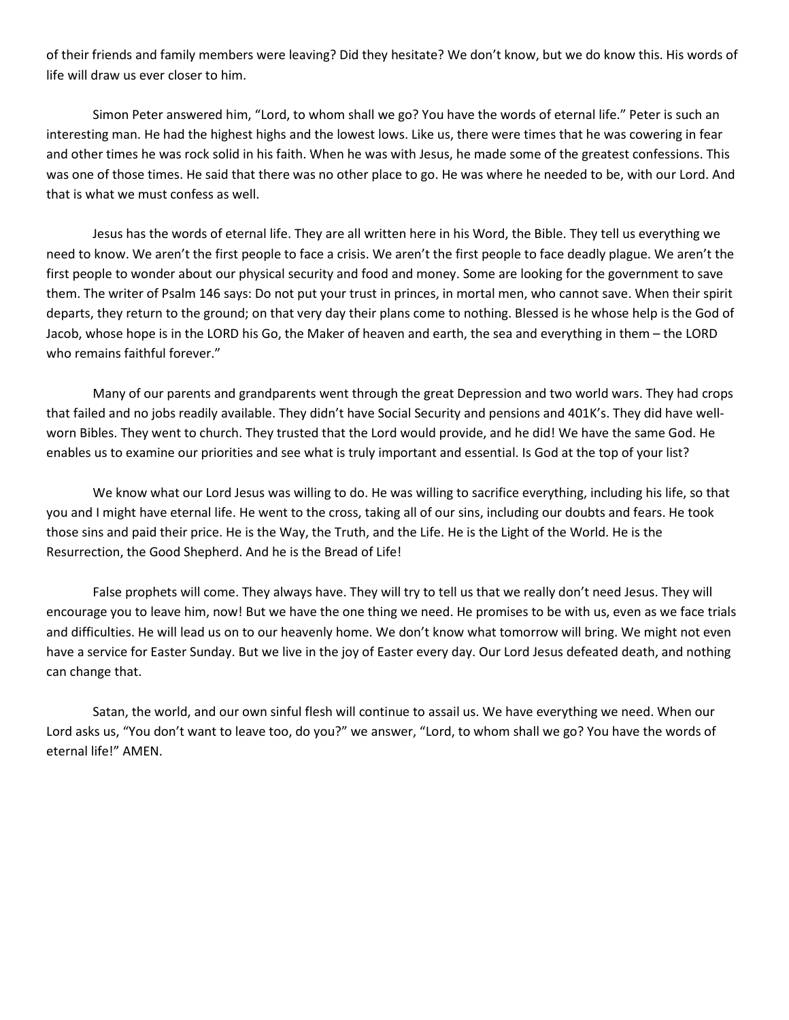of their friends and family members were leaving? Did they hesitate? We don't know, but we do know this. His words of life will draw us ever closer to him.

Simon Peter answered him, "Lord, to whom shall we go? You have the words of eternal life." Peter is such an interesting man. He had the highest highs and the lowest lows. Like us, there were times that he was cowering in fear and other times he was rock solid in his faith. When he was with Jesus, he made some of the greatest confessions. This was one of those times. He said that there was no other place to go. He was where he needed to be, with our Lord. And that is what we must confess as well.

Jesus has the words of eternal life. They are all written here in his Word, the Bible. They tell us everything we need to know. We aren't the first people to face a crisis. We aren't the first people to face deadly plague. We aren't the first people to wonder about our physical security and food and money. Some are looking for the government to save them. The writer of Psalm 146 says: Do not put your trust in princes, in mortal men, who cannot save. When their spirit departs, they return to the ground; on that very day their plans come to nothing. Blessed is he whose help is the God of Jacob, whose hope is in the LORD his Go, the Maker of heaven and earth, the sea and everything in them – the LORD who remains faithful forever."

Many of our parents and grandparents went through the great Depression and two world wars. They had crops that failed and no jobs readily available. They didn't have Social Security and pensions and 401K's. They did have wellworn Bibles. They went to church. They trusted that the Lord would provide, and he did! We have the same God. He enables us to examine our priorities and see what is truly important and essential. Is God at the top of your list?

We know what our Lord Jesus was willing to do. He was willing to sacrifice everything, including his life, so that you and I might have eternal life. He went to the cross, taking all of our sins, including our doubts and fears. He took those sins and paid their price. He is the Way, the Truth, and the Life. He is the Light of the World. He is the Resurrection, the Good Shepherd. And he is the Bread of Life!

False prophets will come. They always have. They will try to tell us that we really don't need Jesus. They will encourage you to leave him, now! But we have the one thing we need. He promises to be with us, even as we face trials and difficulties. He will lead us on to our heavenly home. We don't know what tomorrow will bring. We might not even have a service for Easter Sunday. But we live in the joy of Easter every day. Our Lord Jesus defeated death, and nothing can change that.

Satan, the world, and our own sinful flesh will continue to assail us. We have everything we need. When our Lord asks us, "You don't want to leave too, do you?" we answer, "Lord, to whom shall we go? You have the words of eternal life!" AMEN.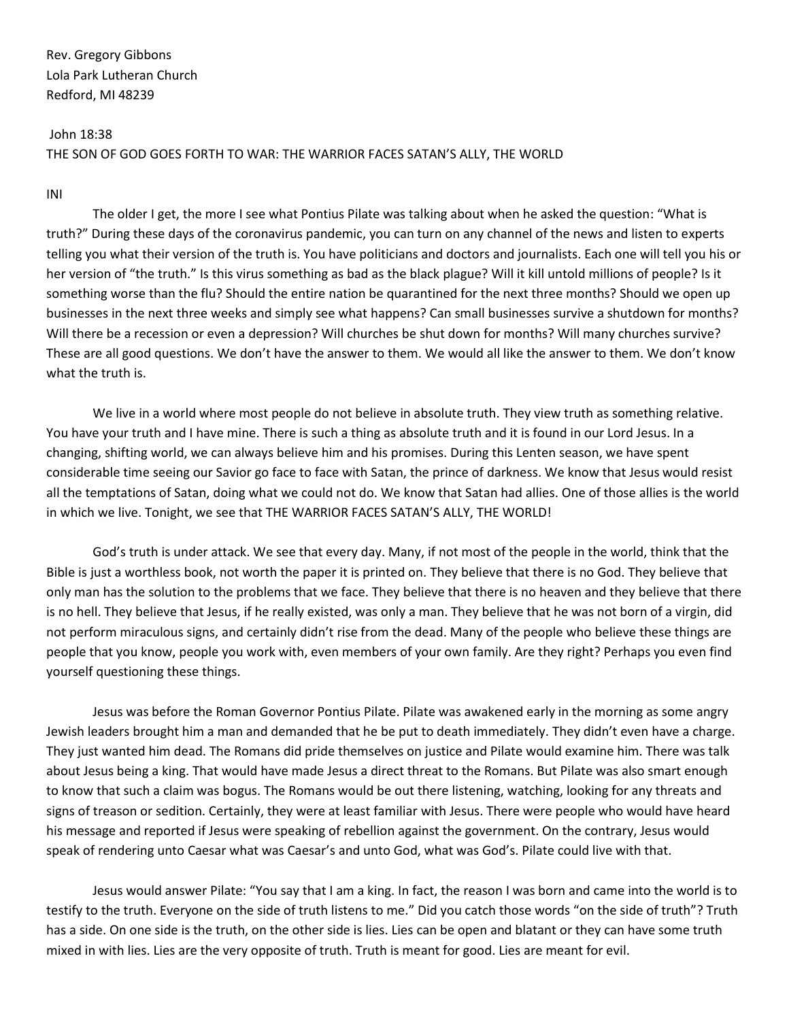#### John 18:38

THE SON OF GOD GOES FORTH TO WAR: THE WARRIOR FACES SATAN'S ALLY, THE WORLD

## INI

The older I get, the more I see what Pontius Pilate was talking about when he asked the question: "What is truth?" During these days of the coronavirus pandemic, you can turn on any channel of the news and listen to experts telling you what their version of the truth is. You have politicians and doctors and journalists. Each one will tell you his or her version of "the truth." Is this virus something as bad as the black plague? Will it kill untold millions of people? Is it something worse than the flu? Should the entire nation be quarantined for the next three months? Should we open up businesses in the next three weeks and simply see what happens? Can small businesses survive a shutdown for months? Will there be a recession or even a depression? Will churches be shut down for months? Will many churches survive? These are all good questions. We don't have the answer to them. We would all like the answer to them. We don't know what the truth is.

We live in a world where most people do not believe in absolute truth. They view truth as something relative. You have your truth and I have mine. There is such a thing as absolute truth and it is found in our Lord Jesus. In a changing, shifting world, we can always believe him and his promises. During this Lenten season, we have spent considerable time seeing our Savior go face to face with Satan, the prince of darkness. We know that Jesus would resist all the temptations of Satan, doing what we could not do. We know that Satan had allies. One of those allies is the world in which we live. Tonight, we see that THE WARRIOR FACES SATAN'S ALLY, THE WORLD!

God's truth is under attack. We see that every day. Many, if not most of the people in the world, think that the Bible is just a worthless book, not worth the paper it is printed on. They believe that there is no God. They believe that only man has the solution to the problems that we face. They believe that there is no heaven and they believe that there is no hell. They believe that Jesus, if he really existed, was only a man. They believe that he was not born of a virgin, did not perform miraculous signs, and certainly didn't rise from the dead. Many of the people who believe these things are people that you know, people you work with, even members of your own family. Are they right? Perhaps you even find yourself questioning these things.

Jesus was before the Roman Governor Pontius Pilate. Pilate was awakened early in the morning as some angry Jewish leaders brought him a man and demanded that he be put to death immediately. They didn't even have a charge. They just wanted him dead. The Romans did pride themselves on justice and Pilate would examine him. There was talk about Jesus being a king. That would have made Jesus a direct threat to the Romans. But Pilate was also smart enough to know that such a claim was bogus. The Romans would be out there listening, watching, looking for any threats and signs of treason or sedition. Certainly, they were at least familiar with Jesus. There were people who would have heard his message and reported if Jesus were speaking of rebellion against the government. On the contrary, Jesus would speak of rendering unto Caesar what was Caesar's and unto God, what was God's. Pilate could live with that.

Jesus would answer Pilate: "You say that I am a king. In fact, the reason I was born and came into the world is to testify to the truth. Everyone on the side of truth listens to me." Did you catch those words "on the side of truth"? Truth has a side. On one side is the truth, on the other side is lies. Lies can be open and blatant or they can have some truth mixed in with lies. Lies are the very opposite of truth. Truth is meant for good. Lies are meant for evil.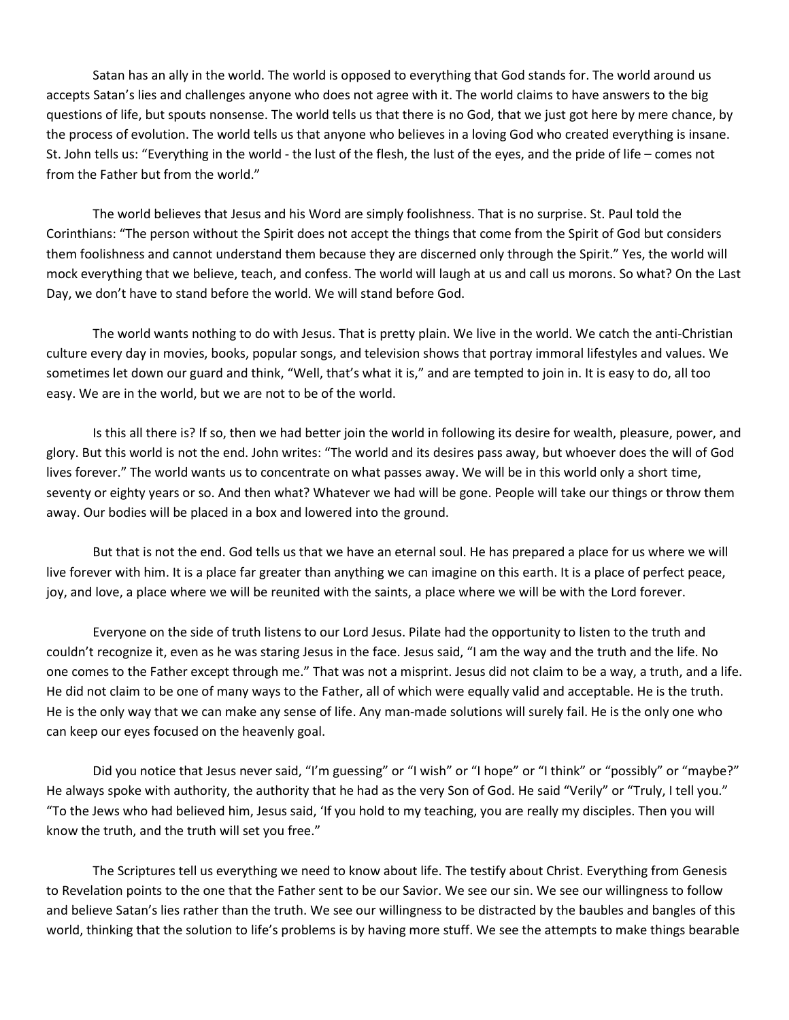Satan has an ally in the world. The world is opposed to everything that God stands for. The world around us accepts Satan's lies and challenges anyone who does not agree with it. The world claims to have answers to the big questions of life, but spouts nonsense. The world tells us that there is no God, that we just got here by mere chance, by the process of evolution. The world tells us that anyone who believes in a loving God who created everything is insane. St. John tells us: "Everything in the world - the lust of the flesh, the lust of the eyes, and the pride of life – comes not from the Father but from the world."

The world believes that Jesus and his Word are simply foolishness. That is no surprise. St. Paul told the Corinthians: "The person without the Spirit does not accept the things that come from the Spirit of God but considers them foolishness and cannot understand them because they are discerned only through the Spirit." Yes, the world will mock everything that we believe, teach, and confess. The world will laugh at us and call us morons. So what? On the Last Day, we don't have to stand before the world. We will stand before God.

The world wants nothing to do with Jesus. That is pretty plain. We live in the world. We catch the anti-Christian culture every day in movies, books, popular songs, and television shows that portray immoral lifestyles and values. We sometimes let down our guard and think, "Well, that's what it is," and are tempted to join in. It is easy to do, all too easy. We are in the world, but we are not to be of the world.

Is this all there is? If so, then we had better join the world in following its desire for wealth, pleasure, power, and glory. But this world is not the end. John writes: "The world and its desires pass away, but whoever does the will of God lives forever." The world wants us to concentrate on what passes away. We will be in this world only a short time, seventy or eighty years or so. And then what? Whatever we had will be gone. People will take our things or throw them away. Our bodies will be placed in a box and lowered into the ground.

But that is not the end. God tells us that we have an eternal soul. He has prepared a place for us where we will live forever with him. It is a place far greater than anything we can imagine on this earth. It is a place of perfect peace, joy, and love, a place where we will be reunited with the saints, a place where we will be with the Lord forever.

Everyone on the side of truth listens to our Lord Jesus. Pilate had the opportunity to listen to the truth and couldn't recognize it, even as he was staring Jesus in the face. Jesus said, "I am the way and the truth and the life. No one comes to the Father except through me." That was not a misprint. Jesus did not claim to be a way, a truth, and a life. He did not claim to be one of many ways to the Father, all of which were equally valid and acceptable. He is the truth. He is the only way that we can make any sense of life. Any man-made solutions will surely fail. He is the only one who can keep our eyes focused on the heavenly goal.

Did you notice that Jesus never said, "I'm guessing" or "I wish" or "I hope" or "I think" or "possibly" or "maybe?" He always spoke with authority, the authority that he had as the very Son of God. He said "Verily" or "Truly, I tell you." "To the Jews who had believed him, Jesus said, 'If you hold to my teaching, you are really my disciples. Then you will know the truth, and the truth will set you free."

The Scriptures tell us everything we need to know about life. The testify about Christ. Everything from Genesis to Revelation points to the one that the Father sent to be our Savior. We see our sin. We see our willingness to follow and believe Satan's lies rather than the truth. We see our willingness to be distracted by the baubles and bangles of this world, thinking that the solution to life's problems is by having more stuff. We see the attempts to make things bearable